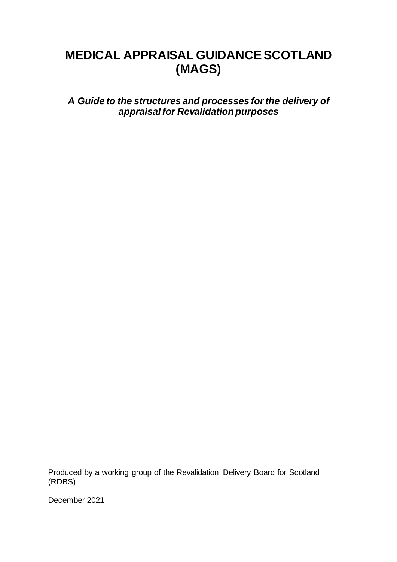# **MEDICAL APPRAISAL GUIDANCE SCOTLAND (MAGS)**

*A Guide to the structures and processes for the delivery of appraisal for Revalidation purposes*

Produced by a working group of the Revalidation Delivery Board for Scotland (RDBS)

December 2021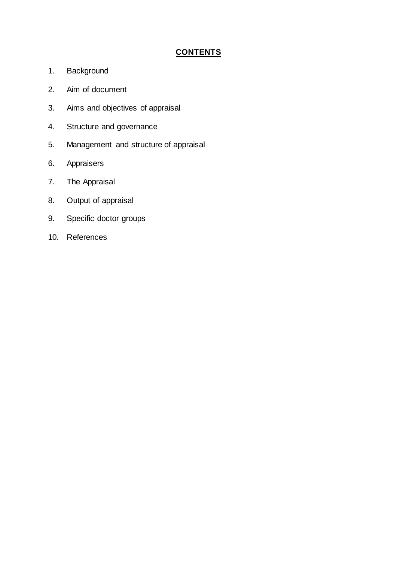## **CONTENTS**

- 1. Background
- 2. Aim of document
- 3. Aims and objectives of appraisal
- 4. Structure and governance
- 5. Management and structure of appraisal
- 6. Appraisers
- 7. The Appraisal
- 8. Output of appraisal
- 9. Specific doctor groups
- 10. References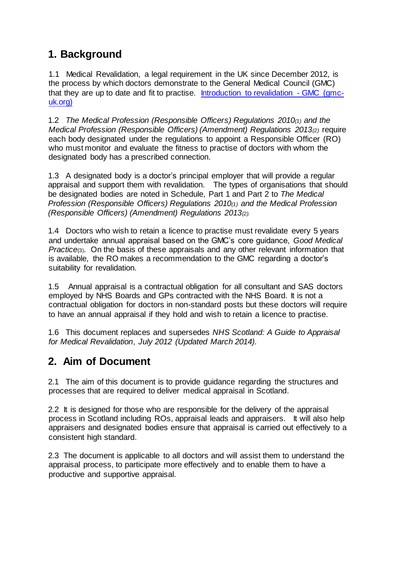## **1. Background**

1.1 Medical Revalidation, a legal requirement in the UK since December 2012, is the process by which doctors demonstrate to the General Medical Council (GMC) that they are up to date and fit to practise. [Introduction to revalidation -](https://www.gmc-uk.org/registration-and-licensing/managing-your-registration/revalidation/introduction-to-revalidation) GMC (gmc[uk.org\)](https://www.gmc-uk.org/registration-and-licensing/managing-your-registration/revalidation/introduction-to-revalidation)

1.2 *The Medical Profession (Responsible Officers) Regulations 2010(1) and the Medical Profession (Responsible Officers) (Amendment) Regulations 2013(2)* require each body designated under the regulations to appoint a Responsible Officer (RO) who must monitor and evaluate the fitness to practise of doctors with whom the designated body has a prescribed connection.

1.3 A designated body is a doctor's principal employer that will provide a regular appraisal and support them with revalidation. The types of organisations that should be designated bodies are noted in Schedule, Part 1 and Part 2 to *The Medical Profession (Responsible Officers) Regulations 2010(1) and the Medical Profession (Responsible Officers) (Amendment) Regulations 2013(2).*

1.4 Doctors who wish to retain a licence to practise must revalidate every 5 years and undertake annual appraisal based on the GMC's core guidance, *Good Medical Practice*(3). On the basis of these appraisals and any other relevant information that is available, the RO makes a recommendation to the GMC regarding a doctor's suitability for revalidation.

1.5 Annual appraisal is a contractual obligation for all consultant and SAS doctors employed by NHS Boards and GPs contracted with the NHS Board. It is not a contractual obligation for doctors in non-standard posts but these doctors will require to have an annual appraisal if they hold and wish to retain a licence to practise.

1.6 This document replaces and supersedes *NHS Scotland: A Guide to Appraisal for Medical Revalidation*, *July 2012 (Updated March 2014).*

## **2. Aim of Document**

2.1 The aim of this document is to provide guidance regarding the structures and processes that are required to deliver medical appraisal in Scotland.

2.2 It is designed for those who are responsible for the delivery of the appraisal process in Scotland including ROs, appraisal leads and appraisers. It will also help appraisers and designated bodies ensure that appraisal is carried out effectively to a consistent high standard.

2.3 The document is applicable to all doctors and will assist them to understand the appraisal process, to participate more effectively and to enable them to have a productive and supportive appraisal.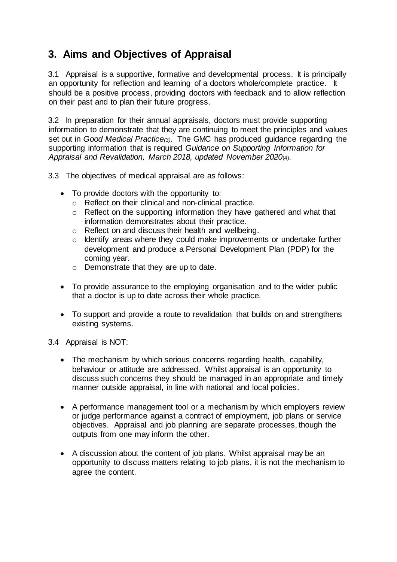## **3. Aims and Objectives of Appraisal**

3.1 Appraisal is a supportive, formative and developmental process. It is principally an opportunity for reflection and learning of a doctors whole/complete practice. It should be a positive process, providing doctors with feedback and to allow reflection on their past and to plan their future progress.

3.2 In preparation for their annual appraisals, doctors must provide supporting information to demonstrate that they are continuing to meet the principles and values set out in *Good Medical Practice(3)*. The GMC has produced guidance regarding the supporting information that is required *Guidance on Supporting Information for Appraisal and Revalidation, March 2018, updated November 2020*(4).

3.3 The objectives of medical appraisal are as follows:

- To provide doctors with the opportunity to:
	- o Reflect on their clinical and non-clinical practice.
	- o Reflect on the supporting information they have gathered and what that information demonstrates about their practice.
	- o Reflect on and discuss their health and wellbeing.
	- o Identify areas where they could make improvements or undertake further development and produce a Personal Development Plan (PDP) for the coming year.
	- o Demonstrate that they are up to date.
- To provide assurance to the employing organisation and to the wider public that a doctor is up to date across their whole practice.
- To support and provide a route to revalidation that builds on and strengthens existing systems.

3.4 Appraisal is NOT:

- The mechanism by which serious concerns regarding health, capability, behaviour or attitude are addressed. Whilst appraisal is an opportunity to discuss such concerns they should be managed in an appropriate and timely manner outside appraisal, in line with national and local policies.
- A performance management tool or a mechanism by which employers review or judge performance against a contract of employment, job plans or service objectives. Appraisal and job planning are separate processes, though the outputs from one may inform the other.
- A discussion about the content of job plans. Whilst appraisal may be an opportunity to discuss matters relating to job plans, it is not the mechanism to agree the content.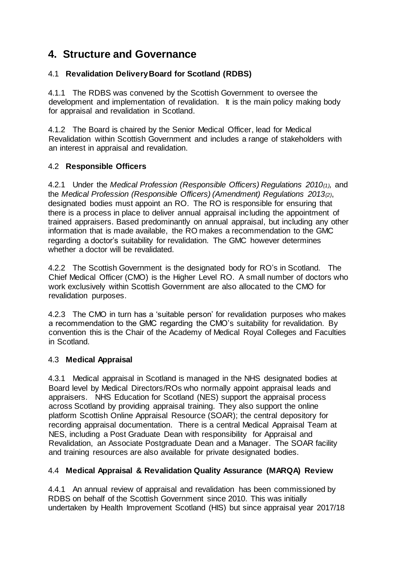## **4. Structure and Governance**

## 4.1 **Revalidation Delivery Board for Scotland (RDBS)**

4.1.1 The RDBS was convened by the Scottish Government to oversee the development and implementation of revalidation. It is the main policy making body for appraisal and revalidation in Scotland.

4.1.2 The Board is chaired by the Senior Medical Officer, lead for Medical Revalidation within Scottish Government and includes a range of stakeholders with an interest in appraisal and revalidation.

## 4.2 **Responsible Officers**

4.2.1 Under the *Medical Profession (Responsible Officers) Regulations 2010(1),* and the *Medical Profession (Responsible Officers) (Amendment) Regulations 2013(2)*, designated bodies must appoint an RO. The RO is responsible for ensuring that there is a process in place to deliver annual appraisal including the appointment of trained appraisers. Based predominantly on annual appraisal, but including any other information that is made available, the RO makes a recommendation to the GMC regarding a doctor's suitability for revalidation. The GMC however determines whether a doctor will be revalidated.

4.2.2 The Scottish Government is the designated body for RO's in Scotland. The Chief Medical Officer (CMO) is the Higher Level RO. A small number of doctors who work exclusively within Scottish Government are also allocated to the CMO for revalidation purposes.

4.2.3 The CMO in turn has a 'suitable person' for revalidation purposes who makes a recommendation to the GMC regarding the CMO's suitability for revalidation. By convention this is the Chair of the Academy of Medical Royal Colleges and Faculties in Scotland.

## 4.3 **Medical Appraisal**

4.3.1 Medical appraisal in Scotland is managed in the NHS designated bodies at Board level by Medical Directors/ROs who normally appoint appraisal leads and appraisers. NHS Education for Scotland (NES) support the appraisal process across Scotland by providing appraisal training. They also support the online platform Scottish Online Appraisal Resource (SOAR); the central depository for recording appraisal documentation. There is a central Medical Appraisal Team at NES, including a Post Graduate Dean with responsibility for Appraisal and Revalidation, an Associate Postgraduate Dean and a Manager. The SOAR facility and training resources are also available for private designated bodies.

## 4.4 **Medical Appraisal & Revalidation Quality Assurance (MARQA) Review**

4.4.1 An annual review of appraisal and revalidation has been commissioned by RDBS on behalf of the Scottish Government since 2010. This was initially undertaken by Health Improvement Scotland (HIS) but since appraisal year 2017/18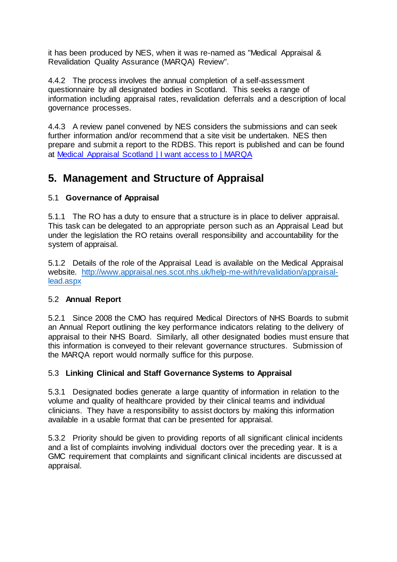it has been produced by NES, when it was re-named as "Medical Appraisal & Revalidation Quality Assurance (MARQA) Review".

4.4.2 The process involves the annual completion of a self-assessment questionnaire by all designated bodies in Scotland. This seeks a range of information including appraisal rates, revalidation deferrals and a description of local governance processes.

4.4.3 A review panel convened by NES considers the submissions and can seek further information and/or recommend that a site visit be undertaken. NES then prepare and submit a report to the RDBS. This report is published and can be found at Medical Appraisal Scotland [| I want access to | MARQA](http://www.appraisal.nes.scot.nhs.uk/i-want-access-to/marqa.aspx)

## **5. Management and Structure of Appraisal**

## 5.1 **Governance of Appraisal**

5.1.1 The RO has a duty to ensure that a structure is in place to deliver appraisal. This task can be delegated to an appropriate person such as an Appraisal Lead but under the legislation the RO retains overall responsibility and accountability for the system of appraisal.

5.1.2 Details of the role of the Appraisal Lead is available on the Medical Appraisal website. [http://www.appraisal.nes.scot.nhs.uk/help-me-with/revalidation/appraisal](http://www.appraisal.nes.scot.nhs.uk/help-me-with/revalidation/appraisal-lead.aspx)[lead.aspx](http://www.appraisal.nes.scot.nhs.uk/help-me-with/revalidation/appraisal-lead.aspx)

## 5.2 **Annual Report**

5.2.1 Since 2008 the CMO has required Medical Directors of NHS Boards to submit an Annual Report outlining the key performance indicators relating to the delivery of appraisal to their NHS Board. Similarly, all other designated bodies must ensure that this information is conveyed to their relevant governance structures. Submission of the MARQA report would normally suffice for this purpose.

## 5.3 **Linking Clinical and Staff Governance Systems to Appraisal**

5.3.1 Designated bodies generate a large quantity of information in relation to the volume and quality of healthcare provided by their clinical teams and individual clinicians. They have a responsibility to assist doctors by making this information available in a usable format that can be presented for appraisal.

5.3.2 Priority should be given to providing reports of all significant clinical incidents and a list of complaints involving individual doctors over the preceding year. It is a GMC requirement that complaints and significant clinical incidents are discussed at appraisal.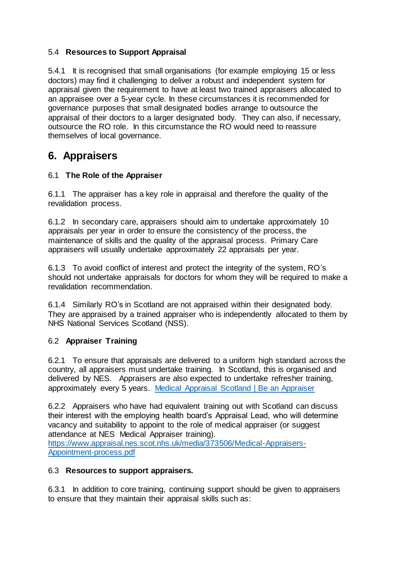## 5.4 **Resources to Support Appraisal**

5.4.1 It is recognised that small organisations (for example employing 15 or less doctors) may find it challenging to deliver a robust and independent system for appraisal given the requirement to have at least two trained appraisers allocated to an appraisee over a 5-year cycle. In these circumstances it is recommended for governance purposes that small designated bodies arrange to outsource the appraisal of their doctors to a larger designated body. They can also, if necessary, outsource the RO role. In this circumstance the RO would need to reassure themselves of local governance.

## **6. Appraisers**

## 6.1 **The Role of the Appraiser**

6.1.1 The appraiser has a key role in appraisal and therefore the quality of the revalidation process.

6.1.2 In secondary care, appraisers should aim to undertake approximately 10 appraisals per year in order to ensure the consistency of the process, the maintenance of skills and the quality of the appraisal process. Primary Care appraisers will usually undertake approximately 22 appraisals per year.

6.1.3 To avoid conflict of interest and protect the integrity of the system, RO's should not undertake appraisals for doctors for whom they will be required to make a revalidation recommendation.

6.1.4 Similarly RO's in Scotland are not appraised within their designated body. They are appraised by a trained appraiser who is independently allocated to them by NHS National Services Scotland (NSS).

## 6.2 **Appraiser Training**

6.2.1 To ensure that appraisals are delivered to a uniform high standard across the country, all appraisers must undertake training. In Scotland, this is organised and delivered by NES. Appraisers are also expected to undertake refresher training, approximately every 5 years. [Medical Appraisal Scotland](https://www.appraisal.nes.scot.nhs.uk/be-an-appraiser.aspx) | Be an Appraiser

6.2.2 Appraisers who have had equivalent training out with Scotland can discuss their interest with the employing health board's Appraisal Lead, who will determine vacancy and suitability to appoint to the role of medical appraiser (or suggest attendance at NES Medical Appraiser training). [https://www.appraisal.nes.scot.nhs.uk/media/373506/Medical-Appraisers-](https://www.appraisal.nes.scot.nhs.uk/media/373506/Medical-Appraisers-Appointment-process.pdf)[Appointment-process.pdf](https://www.appraisal.nes.scot.nhs.uk/media/373506/Medical-Appraisers-Appointment-process.pdf)

## 6.3 **Resources to support appraisers.**

6.3.1 In addition to core training, continuing support should be given to appraisers to ensure that they maintain their appraisal skills such as: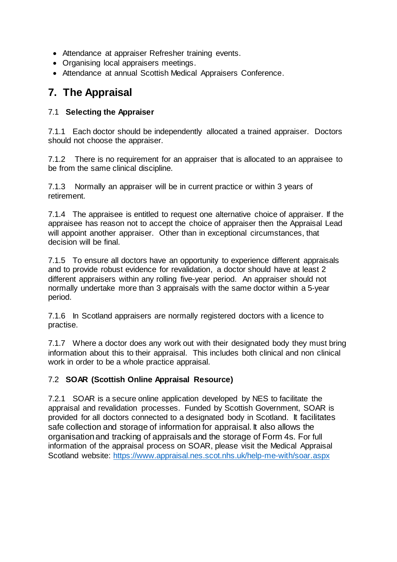- Attendance at appraiser Refresher training events.
- Organising local appraisers meetings.
- Attendance at annual Scottish Medical Appraisers Conference.

## **7. The Appraisal**

#### 7.1 **Selecting the Appraiser**

7.1.1 Each doctor should be independently allocated a trained appraiser. Doctors should not choose the appraiser.

7.1.2 There is no requirement for an appraiser that is allocated to an appraisee to be from the same clinical discipline.

7.1.3 Normally an appraiser will be in current practice or within 3 years of retirement.

7.1.4 The appraisee is entitled to request one alternative choice of appraiser. If the appraisee has reason not to accept the choice of appraiser then the Appraisal Lead will appoint another appraiser. Other than in exceptional circumstances, that decision will be final.

7.1.5 To ensure all doctors have an opportunity to experience different appraisals and to provide robust evidence for revalidation, a doctor should have at least 2 different appraisers within any rolling five-year period. An appraiser should not normally undertake more than 3 appraisals with the same doctor within a 5-year period.

7.1.6 In Scotland appraisers are normally registered doctors with a licence to practise.

7.1.7 Where a doctor does any work out with their designated body they must bring information about this to their appraisal. This includes both clinical and non clinical work in order to be a whole practice appraisal.

## 7.2 **SOAR (Scottish Online Appraisal Resource)**

7.2.1 SOAR is a secure online application developed by NES to facilitate the appraisal and revalidation processes. Funded by Scottish Government, SOAR is provided for all doctors connected to a designated body in Scotland. It facilitates safe collection and storage of information for appraisal. It also allows the organisation and tracking of appraisals and the storage of Form 4s. For full information of the appraisal process on SOAR, please visit the Medical Appraisal Scotland website: <https://www.appraisal.nes.scot.nhs.uk/help-me-with/soar.aspx>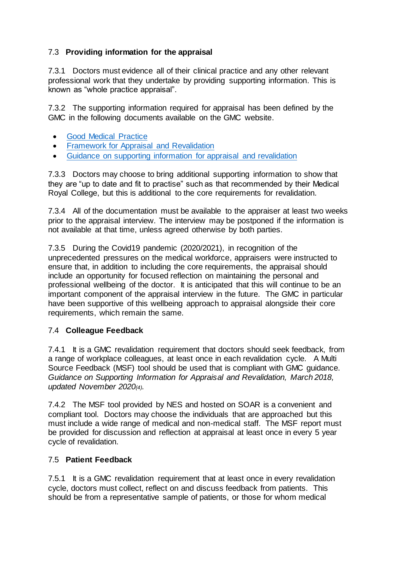## 7.3 **Providing information for the appraisal**

7.3.1Doctors must evidence all of their clinical practice and any other relevant professional work that they undertake by providing supporting information. This is known as "whole practice appraisal".

7.3.2 The supporting information required for appraisal has been defined by the GMC in the following documents available on the GMC website.

- [Good Medical Practice](https://www.gmc-uk.org/-/media/documents/good-medical-practice---english-20200128_pdf-51527435.pdf?la=en&hash=DA1263358CCA88F298785FE2BD7610EB4EE9A530)
- **•** [Framework for Appraisal and Revalidation](https://www.gmc-uk.org/-/media/gmc-site-images/registration-and-licensing/the_good_medical_practice_framework_for_appraisal_and_revalidation_55937137.pdf?la=en&hash=D19D9742901A4FE250C1EAC524A5990ADE331831)
- [Guidance on supporting information for appraisal](https://www.gmc-uk.org/-/media/documents/rt---supporting-information-for-appraisal-and-revalidation---dc5485_pdf-55024594.pdf?la=en&hash=1CA018A10A29AEEA7CDE433E0B901B97DFE96402) and revalidation

7.3.3 Doctors may choose to bring additional supporting information to show that they are "up to date and fit to practise" such as that recommended by their Medical Royal College, but this is additional to the core requirements for revalidation.

7.3.4 All of the documentation must be available to the appraiser at least two weeks prior to the appraisal interview. The interview may be postponed if the information is not available at that time, unless agreed otherwise by both parties.

7.3.5 During the Covid19 pandemic (2020/2021), in recognition of the unprecedented pressures on the medical workforce, appraisers were instructed to ensure that, in addition to including the core requirements, the appraisal should include an opportunity for focused reflection on maintaining the personal and professional wellbeing of the doctor. It is anticipated that this will continue to be an important component of the appraisal interview in the future. The GMC in particular have been supportive of this wellbeing approach to appraisal alongside their core requirements, which remain the same.

## 7.4 **Colleague Feedback**

7.4.1 It is a GMC revalidation requirement that doctors should seek feedback, from a range of workplace colleagues, at least once in each revalidation cycle. A Multi Source Feedback (MSF) tool should be used that is compliant with GMC guidance. *Guidance on Supporting Information for Appraisal and Revalidation, March 2018, updated November 2020(4).*

7.4.2 The MSF tool provided by NES and hosted on SOAR is a convenient and compliant tool. Doctors may choose the individuals that are approached but this must include a wide range of medical and non-medical staff. The MSF report must be provided for discussion and reflection at appraisal at least once in every 5 year cycle of revalidation.

## 7.5 **Patient Feedback**

7.5.1 It is a GMC revalidation requirement that at least once in every revalidation cycle, doctors must collect, reflect on and discuss feedback from patients. This should be from a representative sample of patients, or those for whom medical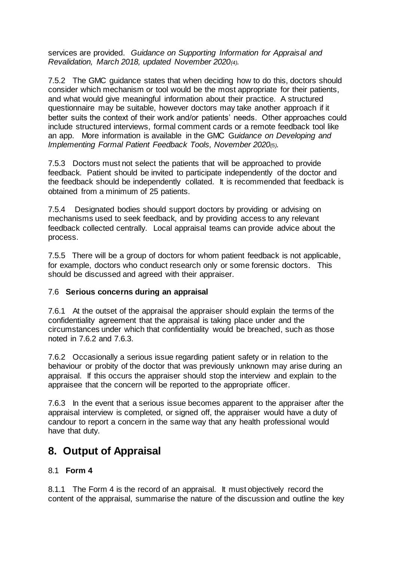services are provided. *Guidance on Supporting Information for Appraisal and Revalidation, March 2018, updated November 2020(4).*

7.5.2 The GMC guidance states that when deciding how to do this, doctors should consider which mechanism or tool would be the most appropriate for their patients, and what would give meaningful information about their practice. A structured questionnaire may be suitable, however doctors may take another approach if it better suits the context of their work and/or patients' needs. Other approaches could include structured interviews, formal comment cards or a remote feedback tool like an app. More information is available in the GMC G*uidance on Developing and Implementing Formal Patient Feedback Tools, November 2020(5).* 

7.5.3 Doctors must not select the patients that will be approached to provide feedback. Patient should be invited to participate independently of the doctor and the feedback should be independently collated. It is recommended that feedback is obtained from a minimum of 25 patients.

7.5.4 Designated bodies should support doctors by providing or advising on mechanisms used to seek feedback, and by providing access to any relevant feedback collected centrally. Local appraisal teams can provide advice about the process.

7.5.5 There will be a group of doctors for whom patient feedback is not applicable, for example, doctors who conduct research only or some forensic doctors. This should be discussed and agreed with their appraiser.

#### 7.6 **Serious concerns during an appraisal**

7.6.1 At the outset of the appraisal the appraiser should explain the terms of the confidentiality agreement that the appraisal is taking place under and the circumstances under which that confidentiality would be breached, such as those noted in 7.6.2 and 7.6.3.

7.6.2 Occasionally a serious issue regarding patient safety or in relation to the behaviour or probity of the doctor that was previously unknown may arise during an appraisal. If this occurs the appraiser should stop the interview and explain to the appraisee that the concern will be reported to the appropriate officer.

7.6.3 In the event that a serious issue becomes apparent to the appraiser after the appraisal interview is completed, or signed off, the appraiser would have a duty of candour to report a concern in the same way that any health professional would have that duty.

## **8. Output of Appraisal**

## 8.1 **Form 4**

8.1.1The Form 4 is the record of an appraisal. It must objectively record the content of the appraisal, summarise the nature of the discussion and outline the key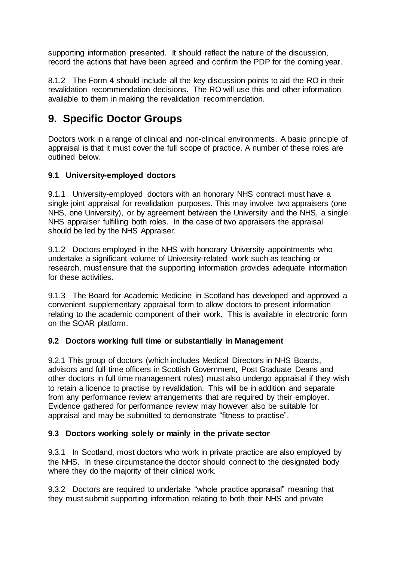supporting information presented. It should reflect the nature of the discussion, record the actions that have been agreed and confirm the PDP for the coming year.

8.1.2 The Form 4 should include all the key discussion points to aid the RO in their revalidation recommendation decisions. The RO will use this and other information available to them in making the revalidation recommendation.

## **9. Specific Doctor Groups**

Doctors work in a range of clinical and non-clinical environments. A basic principle of appraisal is that it must cover the full scope of practice. A number of these roles are outlined below.

## **9.1 University-employed doctors**

9.1.1 University-employed doctors with an honorary NHS contract must have a single joint appraisal for revalidation purposes. This may involve two appraisers (one NHS, one University), or by agreement between the University and the NHS, a single NHS appraiser fulfilling both roles. In the case of two appraisers the appraisal should be led by the NHS Appraiser.

9.1.2 Doctors employed in the NHS with honorary University appointments who undertake a significant volume of University-related work such as teaching or research, must ensure that the supporting information provides adequate information for these activities.

9.1.3 The Board for Academic Medicine in Scotland has developed and approved a convenient supplementary appraisal form to allow doctors to present information relating to the academic component of their work. This is available in electronic form on the SOAR platform.

## **9.2 Doctors working full time or substantially in Management**

9.2.1 This group of doctors (which includes Medical Directors in NHS Boards, advisors and full time officers in Scottish Government, Post Graduate Deans and other doctors in full time management roles) must also undergo appraisal if they wish to retain a licence to practise by revalidation. This will be in addition and separate from any performance review arrangements that are required by their employer. Evidence gathered for performance review may however also be suitable for appraisal and may be submitted to demonstrate "fitness to practise".

## **9.3 Doctors working solely or mainly in the private sector**

9.3.1 In Scotland, most doctors who work in private practice are also employed by the NHS. In these circumstance the doctor should connect to the designated body where they do the majority of their clinical work.

9.3.2 Doctors are required to undertake "whole practice appraisal" meaning that they must submit supporting information relating to both their NHS and private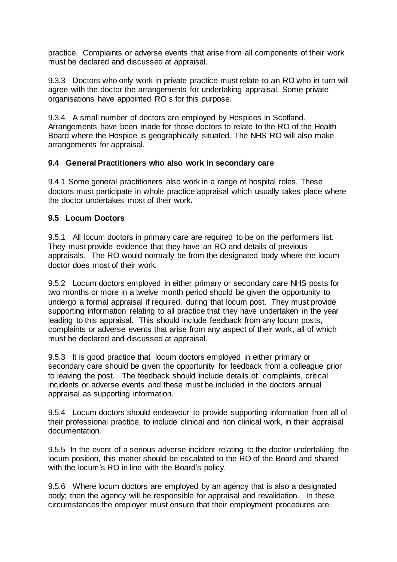practice. Complaints or adverse events that arise from all components of their work must be declared and discussed at appraisal.

9.3.3 Doctors who only work in private practice must relate to an RO who in turn will agree with the doctor the arrangements for undertaking appraisal. Some private organisations have appointed RO's for this purpose.

9.3.4 A small number of doctors are employed by Hospices in Scotland. Arrangements have been made for those doctors to relate to the RO of the Health Board where the Hospice is geographically situated. The NHS RO will also make arrangements for appraisal.

#### **9.4 General Practitioners who also work in secondary care**

9.4.1 Some general practitioners also work in a range of hospital roles. These doctors must participate in whole practice appraisal which usually takes place where the doctor undertakes most of their work.

#### **9.5 Locum Doctors**

9.5.1 All locum doctors in primary care are required to be on the performers list. They must provide evidence that they have an RO and details of previous appraisals. The RO would normally be from the designated body where the locum doctor does most of their work.

9.5.2 Locum doctors employed in either primary or secondary care NHS posts for two months or more in a twelve month period should be given the opportunity to undergo a formal appraisal if required, during that locum post. They must provide supporting information relating to all practice that they have undertaken in the year leading to this appraisal. This should include feedback from any locum posts, complaints or adverse events that arise from any aspect of their work, all of which must be declared and discussed at appraisal.

9.5.3 It is good practice that locum doctors employed in either primary or secondary care should be given the opportunity for feedback from a colleague prior to leaving the post. The feedback should include details of complaints, critical incidents or adverse events and these must be included in the doctors annual appraisal as supporting information.

9.5.4 Locum doctors should endeavour to provide supporting information from all of their professional practice, to include clinical and non clinical work, in their appraisal documentation.

9.5.5 In the event of a serious adverse incident relating to the doctor undertaking the locum position, this matter should be escalated to the RO of the Board and shared with the locum's RO in line with the Board's policy.

9.5.6 Where locum doctors are employed by an agency that is also a designated body; then the agency will be responsible for appraisal and revalidation. In these circumstances the employer must ensure that their employment procedures are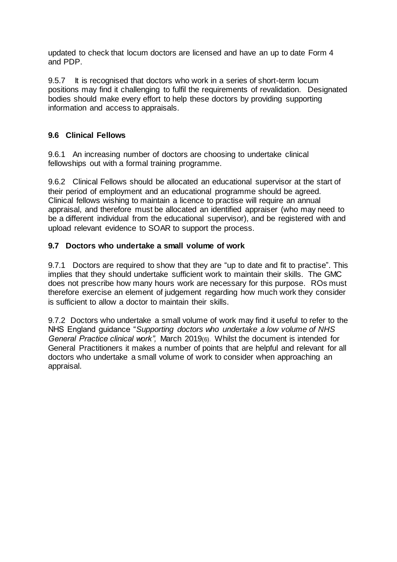updated to check that locum doctors are licensed and have an up to date Form 4 and PDP.

9.5.7 It is recognised that doctors who work in a series of short-term locum positions may find it challenging to fulfil the requirements of revalidation. Designated bodies should make every effort to help these doctors by providing supporting information and access to appraisals.

## **9.6 Clinical Fellows**

9.6.1 An increasing number of doctors are choosing to undertake clinical fellowships out with a formal training programme.

9.6.2 Clinical Fellows should be allocated an educational supervisor at the start of their period of employment and an educational programme should be agreed. Clinical fellows wishing to maintain a licence to practise will require an annual appraisal, and therefore must be allocated an identified appraiser (who may need to be a different individual from the educational supervisor), and be registered with and upload relevant evidence to SOAR to support the process.

#### **9.7 Doctors who undertake a small volume of work**

9.7.1 Doctors are required to show that they are "up to date and fit to practise". This implies that they should undertake sufficient work to maintain their skills. The GMC does not prescribe how many hours work are necessary for this purpose. ROs must therefore exercise an element of judgement regarding how much work they consider is sufficient to allow a doctor to maintain their skills.

9.7.2 Doctors who undertake a small volume of work may find it useful to refer to the NHS England guidance "*Supporting doctors who undertake a low volume of NHS General Practice clinical work",* March 2019(6). Whilst the document is intended for General Practitioners it makes a number of points that are helpful and relevant for all doctors who undertake a small volume of work to consider when approaching an appraisal.